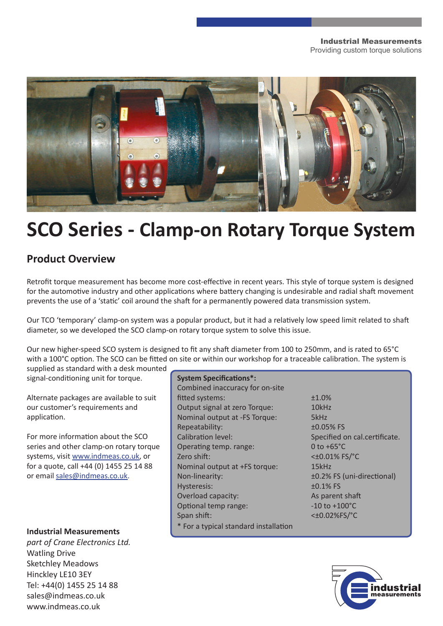

# **SCO Series - Clamp-on Rotary Torque System**

# **Product Overview**

Retrofit torque measurement has become more cost-effective in recent years. This style of torque system is designed for the automotive industry and other applications where battery changing is undesirable and radial shaft movement prevents the use of a 'static' coil around the shaft for a permanently powered data transmission system.

Our TCO 'temporary' clamp-on system was a popular product, but it had a relatively low speed limit related to shaft diameter, so we developed the SCO clamp-on rotary torque system to solve this issue.

Our new higher-speed SCO system is designed to fit any shaft diameter from 100 to 250mm, and is rated to 65°C with a 100°C option. The SCO can be fitted on site or within our workshop for a traceable calibration. The system is

supplied as standard with a desk mounted signal-conditioning unit for torque.

Alternate packages are available to suit our customer's requirements and application.

For more information about the SCO series and other clamp-on rotary torque systems, visit www.indmeas.co.uk, or for a quote, call +44 (0) 1455 25 14 88 or email sales@indmeas.co.uk.

*part of Crane Electronics Ltd.* Watling Drive Sketchley Meadows Hinckley LE10 3EY Tel: +44(0) 1455 25 14 88 sales@indmeas.co.uk www.indmeas.co.uk

#### **System Specifications\*:**

Combined inaccuracy for on-site fitted systems:  $\pm 1.0\%$ Output signal at zero Torque: 10kHz Nominal output at -FS Torque: 5kHz Repeatability:  $\pm 0.05\%$  FS Calibration level: Specified on cal.certificate. Operating temp. range: 0 to +65°C Zero shift: <±0.01% FS/°C Nominal output at +FS torque: 15kHz Non-linearity: ±0.2% FS (uni-directional) Hysteresis:  $\pm 0.1\%$  FS Overload capacity: As parent shaft Optional temp range:  $-10$  to +100°C Span shift: <±0.02%FS/°C \* For a typical standard installation **Industrial Measurements**